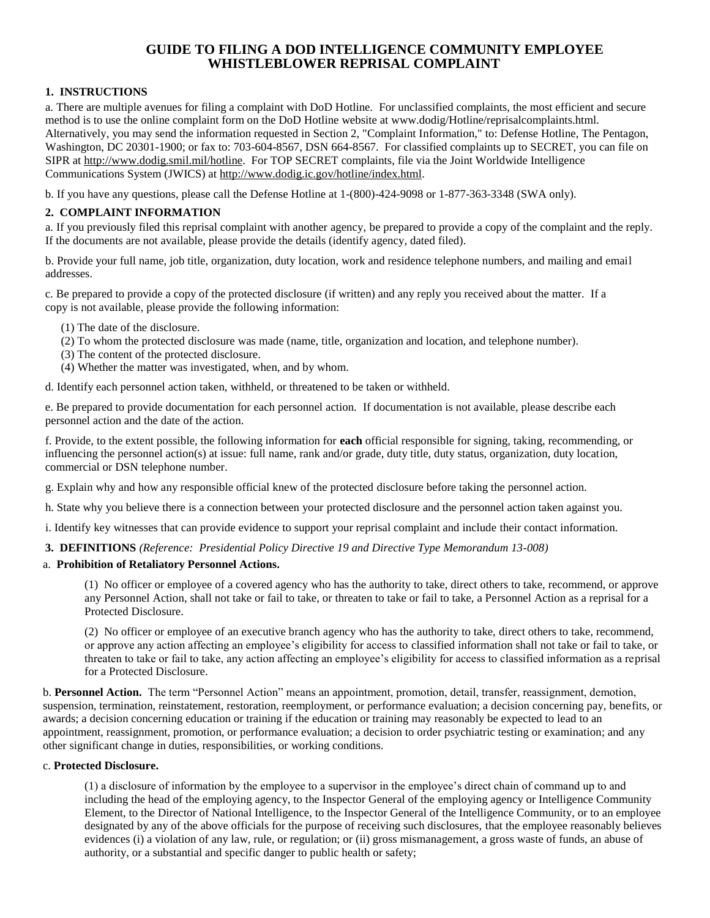# **GUIDE TO FILING A DOD INTELLIGENCE COMMUNITY EMPLOYEE WHISTLEBLOWER REPRISAL COMPLAINT**

### **1. INSTRUCTIONS**

a. There are multiple avenues for filing a complaint with DoD Hotline. For unclassified complaints, the most efficient and secure method is to use the online complaint form on the DoD Hotline website at www.dodig/Hotline/reprisalcomplaints.html. Alternatively, you may send the information requested in Section 2, "Complaint Information," to: Defense Hotline, The Pentagon, Washington, DC 20301-1900; or fax to: 703-604-8567, DSN 664-8567. For classified complaints up to SECRET, you can file on SIPR at [http://www.dodig.smil.mil/hotline.](http://www.dodig.smil.mil/hotline) For TOP SECRET complaints, file via the Joint Worldwide Intelligence Communications System (JWICS) at [http://www.dodig.ic.gov/hotline/index.html.](http://www.dodig.ic.gov/hotline/index.html)

b. If you have any questions, please call the Defense Hotline at 1-(800)-424-9098 or 1-877-363-3348 (SWA only).

## **2. COMPLAINT INFORMATION**

a. If you previously filed this reprisal complaint with another agency, be prepared to provide a copy of the complaint and the reply. If the documents are not available, please provide the details (identify agency, dated filed).

b. Provide your full name, job title, organization, duty location, work and residence telephone numbers, and mailing and email addresses.

c. Be prepared to provide a copy of the protected disclosure (if written) and any reply you received about the matter. If a copy is not available, please provide the following information:

- (1) The date of the disclosure.
- (2) To whom the protected disclosure was made (name, title, organization and location, and telephone number).
- (3) The content of the protected disclosure.
- (4) Whether the matter was investigated, when, and by whom.

d. Identify each personnel action taken, withheld, or threatened to be taken or withheld.

e. Be prepared to provide documentation for each personnel action. If documentation is not available, please describe each personnel action and the date of the action.

f. Provide, to the extent possible, the following information for **each** official responsible for signing, taking, recommending, or influencing the personnel action(s) at issue: full name, rank and/or grade, duty title, duty status, organization, duty location, commercial or DSN telephone number.

g. Explain why and how any responsible official knew of the protected disclosure before taking the personnel action.

h. State why you believe there is a connection between your protected disclosure and the personnel action taken against you.

i. Identify key witnesses that can provide evidence to support your reprisal complaint and include their contact information.

**3. DEFINITIONS** *(Reference: Presidential Policy Directive 19 and Directive Type Memorandum 13-008)*

#### a. **Prohibition of Retaliatory Personnel Actions.**

(1)No officer or employee of a covered agency who has the authority to take, direct others to take, recommend, or approve any Personnel Action, shall not take or fail to take, or threaten to take or fail to take, a Personnel Action as a reprisal for a Protected Disclosure.

(2) No officer or employee of an executive branch agency who has the authority to take, direct others to take, recommend, or approve any action affecting an employee's eligibility for access to classified information shall not take or fail to take, or threaten to take or fail to take, any action affecting an employee's eligibility for access to classified information as a reprisal for a Protected Disclosure.

b. **Personnel Action.** The term "Personnel Action" means an appointment, promotion, detail, transfer, reassignment, demotion, suspension, termination, reinstatement, restoration, reemployment, or performance evaluation; a decision concerning pay, benefits, or awards; a decision concerning education or training if the education or training may reasonably be expected to lead to an appointment, reassignment, promotion, or performance evaluation; a decision to order psychiatric testing or examination; and any other significant change in duties, responsibilities, or working conditions.

#### c. **Protected Disclosure.**

(1) a disclosure of information by the employee to a supervisor in the employee's direct chain of command up to and including the head of the employing agency, to the Inspector General of the employing agency or Intelligence Community Element, to the Director of National Intelligence, to the Inspector General of the Intelligence Community, or to an employee designated by any of the above officials for the purpose of receiving such disclosures, that the employee reasonably believes evidences (i) a violation of any law, rule, or regulation; or (ii) gross mismanagement, a gross waste of funds, an abuse of authority, or a substantial and specific danger to public health or safety;